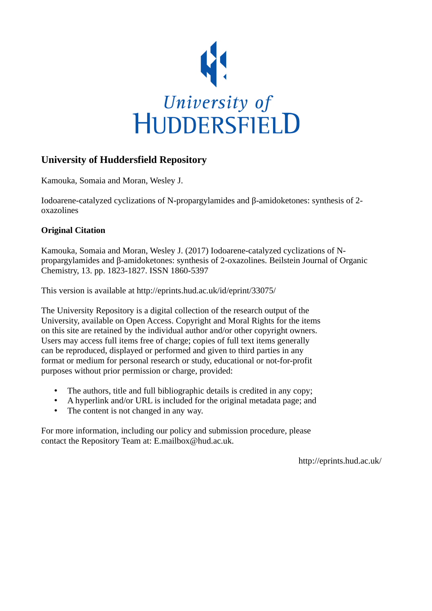

# **University of Huddersfield Repository**

Kamouka, Somaia and Moran, Wesley J.

Iodoarene-catalyzed cyclizations of N-propargylamides and β-amidoketones: synthesis of 2 oxazolines

# **Original Citation**

Kamouka, Somaia and Moran, Wesley J. (2017) Iodoarene-catalyzed cyclizations of Npropargylamides and β-amidoketones: synthesis of 2-oxazolines. Beilstein Journal of Organic Chemistry, 13. pp. 1823-1827. ISSN 1860-5397

This version is available at http://eprints.hud.ac.uk/id/eprint/33075/

The University Repository is a digital collection of the research output of the University, available on Open Access. Copyright and Moral Rights for the items on this site are retained by the individual author and/or other copyright owners. Users may access full items free of charge; copies of full text items generally can be reproduced, displayed or performed and given to third parties in any format or medium for personal research or study, educational or not-for-profit purposes without prior permission or charge, provided:

- The authors, title and full bibliographic details is credited in any copy;
- A hyperlink and/or URL is included for the original metadata page; and
- The content is not changed in any way.

For more information, including our policy and submission procedure, please contact the Repository Team at: E.mailbox@hud.ac.uk.

http://eprints.hud.ac.uk/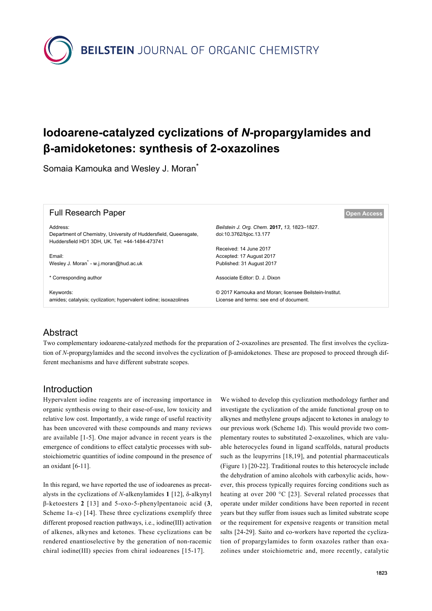

# **Iodoarene-catalyzed cyclizations of** *N***-propargylamides and β-amidoketones: synthesis of 2-oxazolines**

Somaia Kamouka and Wesley J. Moran<sup>\*</sup>

| <b>Full Research Paper</b>                                                                                                     | <b>Open Access</b>                                                                                |
|--------------------------------------------------------------------------------------------------------------------------------|---------------------------------------------------------------------------------------------------|
| Address:<br>Department of Chemistry, University of Huddersfield, Queensgate,<br>Huddersfield HD1 3DH, UK, Tel: +44-1484-473741 | Beilstein J. Org. Chem. 2017, 13, 1823-1827.<br>doi:10.3762/bjoc.13.177                           |
| Email:<br>Wesley J. Moran <sup>*</sup> - w.j.moran@hud.ac.uk                                                                   | Received: 14 June 2017<br>Accepted: 17 August 2017<br>Published: 31 August 2017                   |
| * Corresponding author                                                                                                         | Associate Editor: D. J. Dixon                                                                     |
| Keywords:<br>amides; catalysis; cyclization; hypervalent iodine; isoxazolines                                                  | © 2017 Kamouka and Moran; licensee Beilstein-Institut.<br>License and terms: see end of document. |

## Abstract

Two complementary iodoarene-catalyzed methods for the preparation of 2-oxazolines are presented. The first involves the cyclization of *N*-propargylamides and the second involves the cyclization of β-amidoketones. These are proposed to proceed through different mechanisms and have different substrate scopes.

### Introduction

Hypervalent iodine reagents are of increasing importance in organic synthesis owing to their ease-of-use, low toxicity and relative low cost. Importantly, a wide range of useful reactivity has been uncovered with these compounds and many reviews are available [\[1-5\].](#page-5-0) One major advance in recent years is the emergence of conditions to effect catalytic processes with substoichiometric quantities of iodine compound in the presence of an oxidant [\[6-11\].](#page-5-1)

In this regard, we have reported the use of iodoarenes as precatalysts in the cyclizations of *N*-alkenylamides **1** [\[12\]](#page-5-2), δ-alkynyl β-ketoesters **2** [\[13\]](#page-5-3) and 5-oxo-5-phenylpentanoic acid (**3**, [Scheme 1a](#page-2-0)–c) [\[14\]](#page-5-4). These three cyclizations exemplify three different proposed reaction pathways, i.e., iodine(III) activation of alkenes, alkynes and ketones. These cyclizations can be rendered enantioselective by the generation of non-racemic chiral iodine(III) species from chiral iodoarenes [\[15-17\]](#page-5-5).

We wished to develop this cyclization methodology further and investigate the cyclization of the amide functional group on to alkynes and methylene groups adjacent to ketones in analogy to our previous work ([Scheme 1d](#page-2-0)). This would provide two complementary routes to substituted 2-oxazolines, which are valuable heterocycles found in ligand scaffolds, natural products such as the leupyrrins [\[18,19\]](#page-5-6), and potential pharmaceuticals ([Figure 1\)](#page-2-1) [\[20-22\]](#page-5-7). Traditional routes to this heterocycle include the dehydration of amino alcohols with carboxylic acids, however, this process typically requires forcing conditions such as heating at over 200 °C [\[23\]](#page-5-8). Several related processes that operate under milder conditions have been reported in recent years but they suffer from issues such as limited substrate scope or the requirement for expensive reagents or transition metal salts [\[24-29\].](#page-5-9) Saito and co-workers have reported the cyclization of propargylamides to form oxazoles rather than oxazolines under stoichiometric and, more recently, catalytic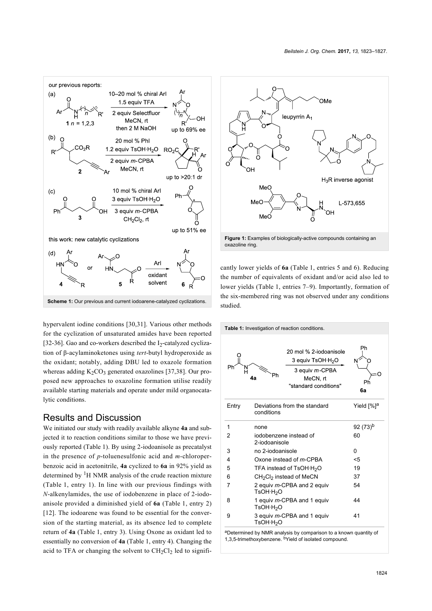<span id="page-2-0"></span>

hypervalent iodine conditions [\[30,31\].](#page-5-10) Various other methods for the cyclization of unsaturated amides have been reported [\[32-36\].](#page-5-11) Gao and co-workers described the  $I_2$ -catalyzed cyclization of β-acylaminoketones using *tert*-butyl hydroperoxide as the oxidant; notably, adding DBU led to oxazole formation whereas adding  $K_2CO_3$  generated oxazolines [\[37,38\].](#page-5-12) Our proposed new approaches to oxazoline formation utilise readily available starting materials and operate under mild organocatalytic conditions.

#### Results and Discussion

We initiated our study with readily available alkyne **4a** and subjected it to reaction conditions similar to those we have previously reported ([Table 1\)](#page-2-2). By using 2-iodoanisole as precatalyst in the presence of *p*-toluenesulfonic acid and *m*-chloroperbenzoic acid in acetonitrile, **4a** cyclized to **6a** in 92% yield as determined by  ${}^{1}$ H NMR analysis of the crude reaction mixture ([Table 1](#page-2-2), entry 1). In line with our previous findings with *N*-alkenylamides, the use of iodobenzene in place of 2-iodoanisole provided a diminished yield of **6a** ([Table 1](#page-2-2), entry 2) [\[12\]](#page-5-2). The iodoarene was found to be essential for the conversion of the starting material, as its absence led to complete return of **4a** ([Table 1,](#page-2-2) entry 3). Using Oxone as oxidant led to essentially no conversion of **4a** ([Table 1](#page-2-2), entry 4). Changing the acid to TFA or changing the solvent to  $CH_2Cl_2$  led to signifi-

<span id="page-2-1"></span>

cantly lower yields of **6a** [\(Table 1](#page-2-2), entries 5 and 6). Reducing the number of equivalents of oxidant and/or acid also led to lower yields ([Table 1](#page-2-2), entries 7–9). Importantly, formation of the six-membered ring was not observed under any conditions studied.

<span id="page-2-2"></span>

aDetermined by NMR analysis by comparison to a known quantity of 1,3,5-trimethoxybenzene. <sup>b</sup>Yield of isolated compound.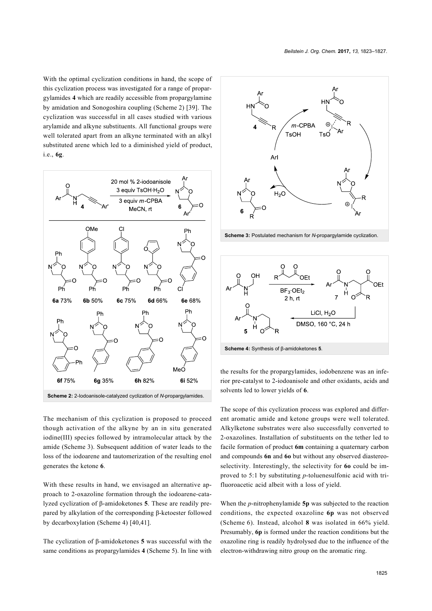With the optimal cyclization conditions in hand, the scope of this cyclization process was investigated for a range of propargylamides **4** which are readily accessible from propargylamine by amidation and Sonogoshira coupling ([Scheme 2\)](#page-3-0) [\[39\]](#page-5-13). The cyclization was successful in all cases studied with various arylamide and alkyne substituents. All functional groups were well tolerated apart from an alkyne terminated with an alkyl substituted arene which led to a diminished yield of product, i.e., **6g**.

<span id="page-3-0"></span>

The mechanism of this cyclization is proposed to proceed though activation of the alkyne by an in situ generated iodine(III) species followed by intramolecular attack by the amide [\(Scheme 3\)](#page-3-1). Subsequent addition of water leads to the loss of the iodoarene and tautomerization of the resulting enol generates the ketone **6**.

With these results in hand, we envisaged an alternative approach to 2-oxazoline formation through the iodoarene-catalyzed cyclization of β-amidoketones **5**. These are readily prepared by alkylation of the corresponding β-ketoester followed by decarboxylation ([Scheme 4](#page-3-2)) [\[40,41\].](#page-5-14)

The cyclization of β-amidoketones **5** was successful with the same conditions as propargylamides **4** [\(Scheme 5](#page-4-0)). In line with

<span id="page-3-1"></span>

**Scheme 3:** Postulated mechanism for *N*-propargylamide cyclization.

<span id="page-3-2"></span>![](_page_3_Figure_8.jpeg)

![](_page_3_Figure_9.jpeg)

the results for the propargylamides, iodobenzene was an inferior pre-catalyst to 2-iodoanisole and other oxidants, acids and solvents led to lower yields of **6**.

The scope of this cyclization process was explored and different aromatic amide and ketone groups were well tolerated. Alkylketone substrates were also successfully converted to 2-oxazolines. Installation of substituents on the tether led to facile formation of product **6m** containing a quaternary carbon and compounds **6n** and **6o** but without any observed diastereoselectivity. Interestingly, the selectivity for **6o** could be improved to 5:1 by substituting *p*-toluenesulfonic acid with trifluoroacetic acid albeit with a loss of yield.

When the *p*-nitrophenylamide **5p** was subjected to the reaction conditions, the expected oxazoline **6p** was not observed ([Scheme 6\)](#page-4-1). Instead, alcohol **8** was isolated in 66% yield. Presumably, **6p** is formed under the reaction conditions but the oxazoline ring is readily hydrolysed due to the influence of the electron-withdrawing nitro group on the aromatic ring.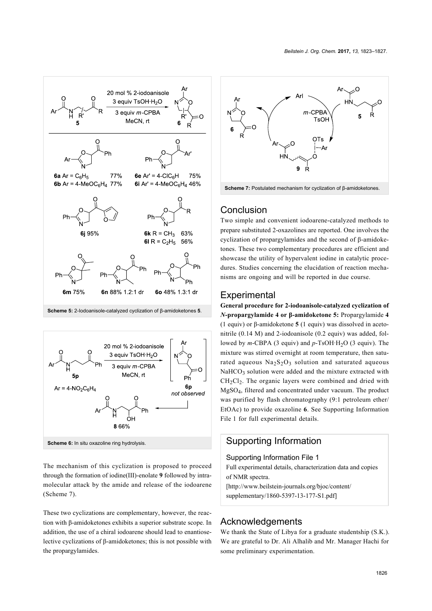<span id="page-4-0"></span>![](_page_4_Figure_1.jpeg)

<span id="page-4-1"></span>![](_page_4_Figure_2.jpeg)

The mechanism of this cyclization is proposed to proceed through the formation of iodine(III)-enolate **9** followed by intramolecular attack by the amide and release of the iodoarene ([Scheme 7](#page-4-2)).

These two cyclizations are complementary, however, the reaction with β-amidoketones exhibits a superior substrate scope. In addition, the use of a chiral iodoarene should lead to enantioselective cyclizations of β-amidoketones; this is not possible with the propargylamides.

<span id="page-4-2"></span>![](_page_4_Figure_5.jpeg)

### Conclusion

Two simple and convenient iodoarene-catalyzed methods to prepare substituted 2-oxazolines are reported. One involves the cyclization of propargylamides and the second of β-amidoketones. These two complementary procedures are efficient and showcase the utility of hypervalent iodine in catalytic procedures. Studies concerning the elucidation of reaction mechanisms are ongoing and will be reported in due course.

### **Experimental**

**General procedure for 2-iodoanisole-catalyzed cyclization of** *N***-propargylamide 4 or β-amidoketone 5:** Propargylamide **4** (1 equiv) or β-amidoketone **5** (1 equiv) was dissolved in acetonitrile (0.14 M) and 2-iodoanisole (0.2 equiv) was added, followed by *m*-CBPA (3 equiv) and *p*-TsOH·H<sub>2</sub>O (3 equiv). The mixture was stirred overnight at room temperature, then saturated aqueous  $Na<sub>2</sub>S<sub>2</sub>O<sub>3</sub>$  solution and saturated aqueous  $NaHCO<sub>3</sub>$  solution were added and the mixture extracted with  $CH<sub>2</sub>Cl<sub>2</sub>$ . The organic layers were combined and dried with MgSO4, filtered and concentrated under vacuum. The product was purified by flash chromatography (9:1 petroleum ether/ EtOAc) to provide oxazoline **6**. See [Supporting Information](#page-4-3) [File 1](#page-4-3) for full experimental details.

## Supporting Information

<span id="page-4-3"></span>Supporting Information File 1

Full experimental details, characterization data and copies of NMR spectra.

[\[http://www.beilstein-journals.org/bjoc/content/](http://www.beilstein-journals.org/bjoc/content/supplementary/1860-5397-13-177-S1.pdf) [supplementary/1860-5397-13-177-S1.pdf\]](http://www.beilstein-journals.org/bjoc/content/supplementary/1860-5397-13-177-S1.pdf)

#### Acknowledgements

We thank the State of Libya for a graduate studentship (S.K.). We are grateful to Dr. Ali Alhalib and Mr. Manager Hachi for some preliminary experimentation.